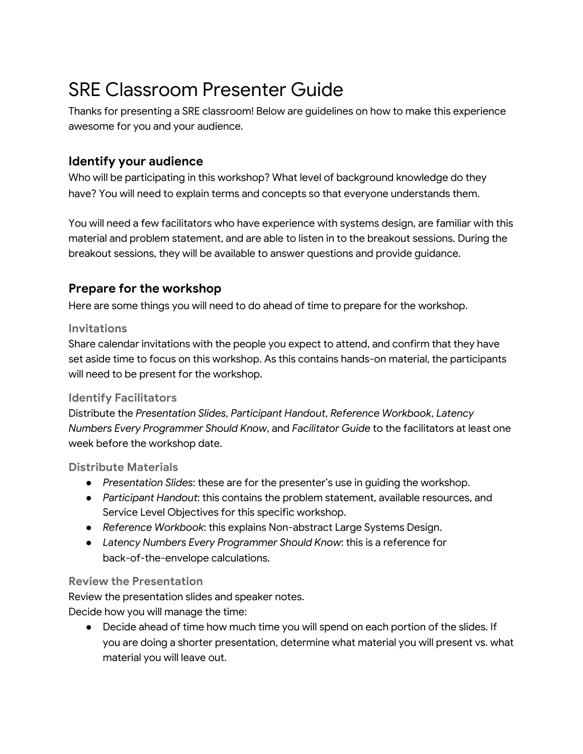# SRE Classroom Presenter Guide

Thanks for presenting a SRE classroom! Below are guidelines on how to make this experience awesome for you and your audience.

# **Identify your audience**

Who will be participating in this workshop? What level of background knowledge do they have? You will need to explain terms and concepts so that everyone understands them.

You will need a few facilitators who have experience with systems design, are familiar with this material and problem statement, and are able to listen in to the breakout sessions. During the breakout sessions, they will be available to answer questions and provide guidance.

## **Prepare for the workshop**

Here are some things you will need to do ahead of time to prepare for the workshop.

#### **Invitations**

Share calendar invitations with the people you expect to attend, and confirm that they have set aside time to focus on this workshop. As this contains hands-on material, the participants will need to be present for the workshop.

## **Identify Facilitators**

Distribute the *Presentation Slides*, *Participant Handout*, *Reference Workbook*, *Latency Numbers Every Programmer Should Know*, and *Facilitator Guide* to the facilitators at least one week before the workshop date.

## **Distribute Materials**

- *Presentation Slides*: these are for the presenter's use in guiding the workshop.
- *Participant Handout*: this contains the problem statement, available resources, and Service Level Objectives for this specific workshop.
- *Reference Workbook*: this explains Non-abstract Large Systems Design.
- *Latency Numbers Every Programmer Should Know*: this is a reference for back-of-the-envelope calculations.

#### **Review the Presentation**

Review the presentation slides and speaker notes.

Decide how you will manage the time:

• Decide ahead of time how much time you will spend on each portion of the slides. If you are doing a shorter presentation, determine what material you will present vs. what material you will leave out.